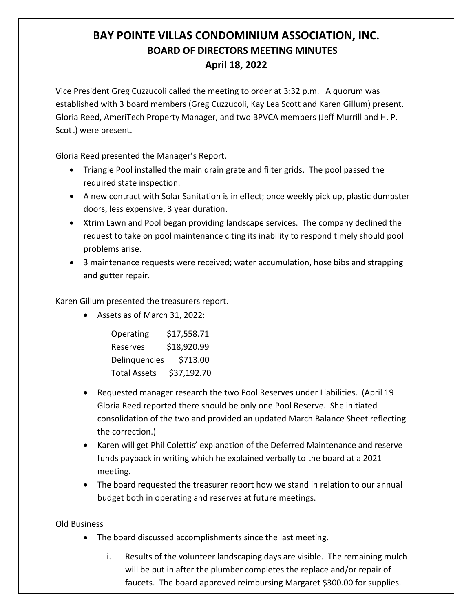## **BAY POINTE VILLAS CONDOMINIUM ASSOCIATION, INC. BOARD OF DIRECTORS MEETING MINUTES April 18, 2022**

Vice President Greg Cuzzucoli called the meeting to order at 3:32 p.m. A quorum was established with 3 board members (Greg Cuzzucoli, Kay Lea Scott and Karen Gillum) present. Gloria Reed, AmeriTech Property Manager, and two BPVCA members (Jeff Murrill and H. P. Scott) were present.

Gloria Reed presented the Manager's Report.

- Triangle Pool installed the main drain grate and filter grids. The pool passed the required state inspection.
- A new contract with Solar Sanitation is in effect; once weekly pick up, plastic dumpster doors, less expensive, 3 year duration.
- Xtrim Lawn and Pool began providing landscape services. The company declined the request to take on pool maintenance citing its inability to respond timely should pool problems arise.
- 3 maintenance requests were received; water accumulation, hose bibs and strapping and gutter repair.

Karen Gillum presented the treasurers report.

• Assets as of March 31, 2022:

| Operating           | \$17,558.71 |
|---------------------|-------------|
| Reserves            | \$18,920.99 |
| Delinguencies       | \$713.00    |
| <b>Total Assets</b> | \$37,192.70 |

- Requested manager research the two Pool Reserves under Liabilities. (April 19 Gloria Reed reported there should be only one Pool Reserve. She initiated consolidation of the two and provided an updated March Balance Sheet reflecting the correction.)
- Karen will get Phil Colettis' explanation of the Deferred Maintenance and reserve funds payback in writing which he explained verbally to the board at a 2021 meeting.
- The board requested the treasurer report how we stand in relation to our annual budget both in operating and reserves at future meetings.

Old Business

- The board discussed accomplishments since the last meeting.
	- i. Results of the volunteer landscaping days are visible. The remaining mulch will be put in after the plumber completes the replace and/or repair of faucets. The board approved reimbursing Margaret \$300.00 for supplies.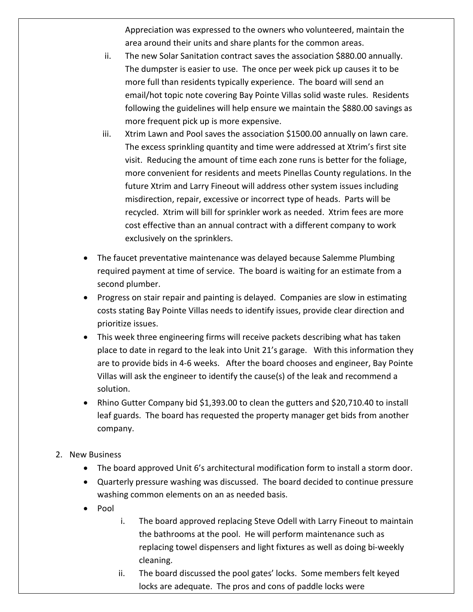Appreciation was expressed to the owners who volunteered, maintain the area around their units and share plants for the common areas.

- ii. The new Solar Sanitation contract saves the association \$880.00 annually. The dumpster is easier to use. The once per week pick up causes it to be more full than residents typically experience. The board will send an email/hot topic note covering Bay Pointe Villas solid waste rules. Residents following the guidelines will help ensure we maintain the \$880.00 savings as more frequent pick up is more expensive.
- iii. Xtrim Lawn and Pool saves the association \$1500.00 annually on lawn care. The excess sprinkling quantity and time were addressed at Xtrim's first site visit. Reducing the amount of time each zone runs is better for the foliage, more convenient for residents and meets Pinellas County regulations. In the future Xtrim and Larry Fineout will address other system issues including misdirection, repair, excessive or incorrect type of heads. Parts will be recycled. Xtrim will bill for sprinkler work as needed. Xtrim fees are more cost effective than an annual contract with a different company to work exclusively on the sprinklers.
- The faucet preventative maintenance was delayed because Salemme Plumbing required payment at time of service. The board is waiting for an estimate from a second plumber.
- Progress on stair repair and painting is delayed. Companies are slow in estimating costs stating Bay Pointe Villas needs to identify issues, provide clear direction and prioritize issues.
- This week three engineering firms will receive packets describing what has taken place to date in regard to the leak into Unit 21's garage. With this information they are to provide bids in 4-6 weeks. After the board chooses and engineer, Bay Pointe Villas will ask the engineer to identify the cause(s) of the leak and recommend a solution.
- Rhino Gutter Company bid \$1,393.00 to clean the gutters and \$20,710.40 to install leaf guards. The board has requested the property manager get bids from another company.
- 2. New Business
	- The board approved Unit 6's architectural modification form to install a storm door.
	- Quarterly pressure washing was discussed. The board decided to continue pressure washing common elements on an as needed basis.
	- Pool
- i. The board approved replacing Steve Odell with Larry Fineout to maintain the bathrooms at the pool. He will perform maintenance such as replacing towel dispensers and light fixtures as well as doing bi-weekly cleaning.
- ii. The board discussed the pool gates' locks. Some members felt keyed locks are adequate. The pros and cons of paddle locks were